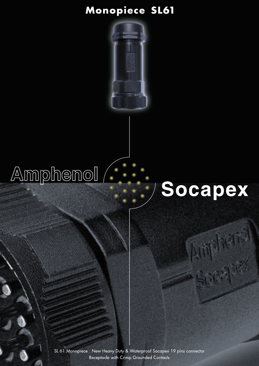### Monopiece SL61

## Amphenol<sup>/</sup>

# Socapex

Socapex

SL 61 Monopiece: New Heavy Duty & Waterproof Socapex 19 pins connector Receptacle with Crimp Grounded Contacts